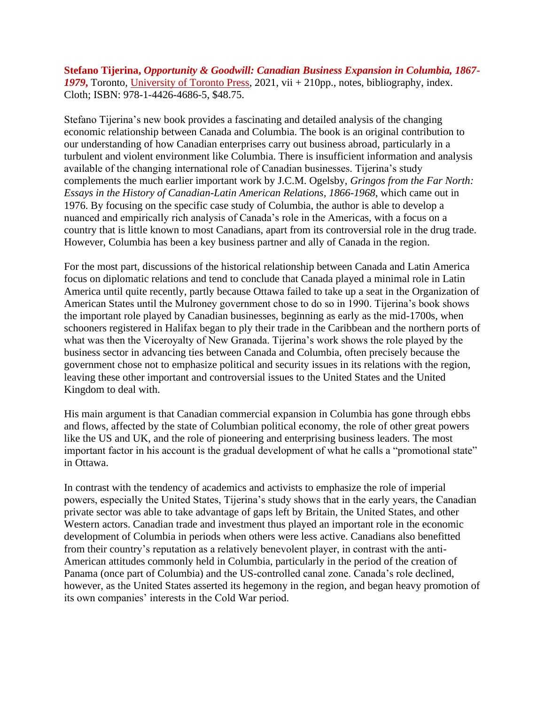**Stefano Tijerina,** *Opportunity & Goodwill: Canadian Business Expansion in Columbia, 1867- 1979***,** Toronto, [University of Toronto Press,](https://utorontopress.com/9781442646865/opportunism-and-goodwill/) 2021, vii + 210pp., notes, bibliography, index. Cloth; ISBN: 978-1-4426-4686-5, \$48.75.

Stefano Tijerina's new book provides a fascinating and detailed analysis of the changing economic relationship between Canada and Columbia. The book is an original contribution to our understanding of how Canadian enterprises carry out business abroad, particularly in a turbulent and violent environment like Columbia. There is insufficient information and analysis available of the changing international role of Canadian businesses. Tijerina's study complements the much earlier important work by J.C.M. Ogelsby, *Gringos from the Far North: Essays in the History of Canadian-Latin American Relations, 1866-1968*, which came out in 1976. By focusing on the specific case study of Columbia, the author is able to develop a nuanced and empirically rich analysis of Canada's role in the Americas, with a focus on a country that is little known to most Canadians, apart from its controversial role in the drug trade. However, Columbia has been a key business partner and ally of Canada in the region.

For the most part, discussions of the historical relationship between Canada and Latin America focus on diplomatic relations and tend to conclude that Canada played a minimal role in Latin America until quite recently, partly because Ottawa failed to take up a seat in the Organization of American States until the Mulroney government chose to do so in 1990. Tijerina's book shows the important role played by Canadian businesses, beginning as early as the mid-1700s, when schooners registered in Halifax began to ply their trade in the Caribbean and the northern ports of what was then the Viceroyalty of New Granada. Tijerina's work shows the role played by the business sector in advancing ties between Canada and Columbia, often precisely because the government chose not to emphasize political and security issues in its relations with the region, leaving these other important and controversial issues to the United States and the United Kingdom to deal with.

His main argument is that Canadian commercial expansion in Columbia has gone through ebbs and flows, affected by the state of Columbian political economy, the role of other great powers like the US and UK, and the role of pioneering and enterprising business leaders. The most important factor in his account is the gradual development of what he calls a "promotional state" in Ottawa.

In contrast with the tendency of academics and activists to emphasize the role of imperial powers, especially the United States, Tijerina's study shows that in the early years, the Canadian private sector was able to take advantage of gaps left by Britain, the United States, and other Western actors. Canadian trade and investment thus played an important role in the economic development of Columbia in periods when others were less active. Canadians also benefitted from their country's reputation as a relatively benevolent player, in contrast with the anti-American attitudes commonly held in Columbia, particularly in the period of the creation of Panama (once part of Columbia) and the US-controlled canal zone. Canada's role declined, however, as the United States asserted its hegemony in the region, and began heavy promotion of its own companies' interests in the Cold War period.